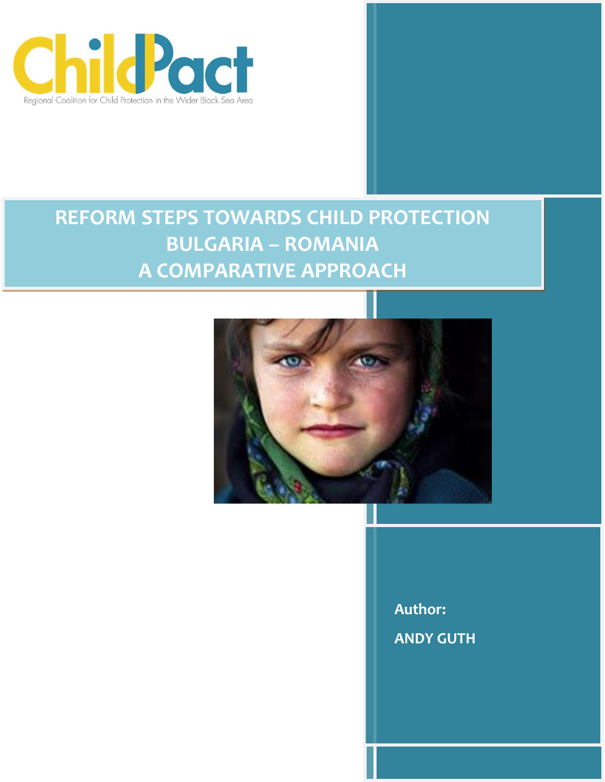

# **REFORM STEPS TOWARDS CHILD PROTECTION BULGARIA – ROMANIA A COMPARATIVE APPROACH**



**Author: ANDY GUTH**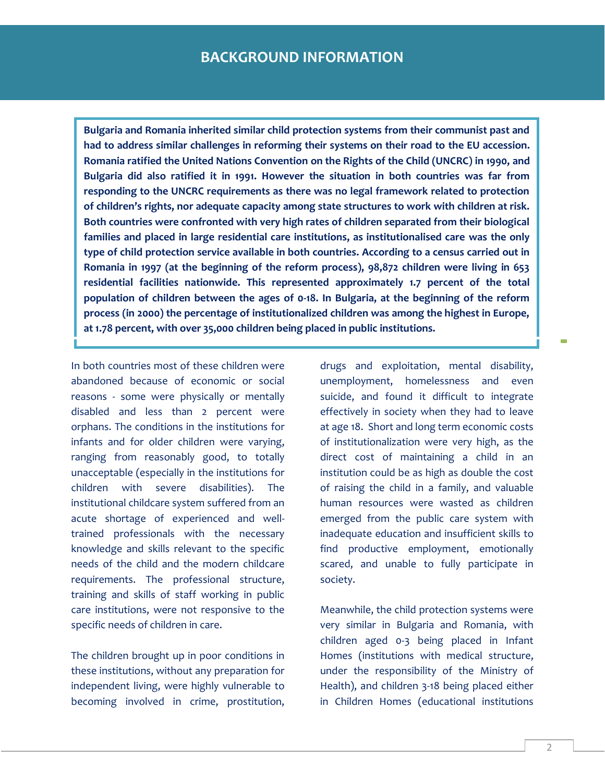**Bulgaria and Romania inherited similar child protection systems from their communist past and had to address similar challenges in reforming their systems on their road to the EU accession. Romania ratified the United Nations Convention on the Rights of the Child (UNCRC) in 1990, and Bulgaria did also ratified it in 1991. However the situation in both countries was far from responding to the UNCRC requirements as there was no legal framework related to protection of children's rights, nor adequate capacity among state structures to work with children at risk. Both countries were confronted with very high rates of children separated from their biological families and placed in large residential care institutions, as institutionalised care was the only type of child protection service available in both countries. According to a census carried out in Romania in 1997 (at the beginning of the reform process), 98,872 children were living in 653 residential facilities nationwide. This represented approximately 1.7 percent of the total population of children between the ages of 0-18. In Bulgaria, at the beginning of the reform process (in 2000) the percentage of institutionalized children was among the highest in Europe, at 1.78 percent, with over 35,000 children being placed in public institutions.**

In both countries most of these children were abandoned because of economic or social reasons - some were physically or mentally disabled and less than 2 percent were orphans. The conditions in the institutions for infants and for older children were varying, ranging from reasonably good, to totally unacceptable (especially in the institutions for children with severe disabilities). The institutional childcare system suffered from an acute shortage of experienced and welltrained professionals with the necessary knowledge and skills relevant to the specific needs of the child and the modern childcare requirements. The professional structure, training and skills of staff working in public care institutions, were not responsive to the specific needs of children in care.

The children brought up in poor conditions in these institutions, without any preparation for independent living, were highly vulnerable to becoming involved in crime, prostitution,

drugs and exploitation, mental disability, unemployment, homelessness and even suicide, and found it difficult to integrate effectively in society when they had to leave at age 18. Short and long term economic costs of institutionalization were very high, as the direct cost of maintaining a child in an institution could be as high as double the cost of raising the child in a family, and valuable human resources were wasted as children emerged from the public care system with inadequate education and insufficient skills to find productive employment, emotionally scared, and unable to fully participate in society.

Meanwhile, the child protection systems were very similar in Bulgaria and Romania, with children aged 0-3 being placed in Infant Homes (institutions with medical structure, under the responsibility of the Ministry of Health), and children 3-18 being placed either in Children Homes (educational institutions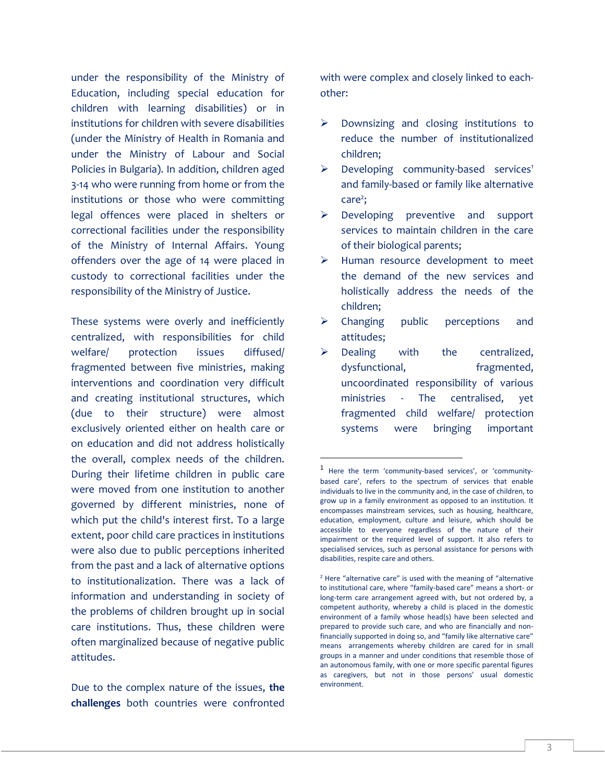under the responsibility of the Ministry of Education, including special education for children with learning disabilities) or in institutions for children with severe disabilities (under the Ministry of Health in Romania and under the Ministry of Labour and Social Policies in Bulgaria). In addition, children aged 3-14 who were running from home or from the institutions or those who were committing legal offences were placed in shelters or correctional facilities under the responsibility of the Ministry of Internal Affairs. Young offenders over the age of 14 were placed in custody to correctional facilities under the responsibility of the Ministry of Justice.

These systems were overly and inefficiently centralized, with responsibilities for child welfare/ protection issues diffused/ fragmented between five ministries, making interventions and coordination very difficult and creating institutional structures, which (due to their structure) were almost exclusively oriented either on health care or on education and did not address holistically the overall, complex needs of the children. During their lifetime children in public care were moved from one institution to another governed by different ministries, none of which put the child's interest first. To a large extent, poor child care practices in institutions were also due to public perceptions inherited from the past and a lack of alternative options to institutionalization. There was a lack of information and understanding in society of the problems of children brought up in social care institutions. Thus, these children were often marginalized because of negative public attitudes.

Due to the complex nature of the issues, **the challenges** both countries were confronted with were complex and closely linked to eachother:

- $\triangleright$  Downsizing and closing institutions to reduce the number of institutionalized children;
- $\triangleright$  Developing community-based services<sup>1</sup> and family-based or family like alternative care<sup>2</sup>;
- $\triangleright$  Developing preventive and support services to maintain children in the care of their biological parents;
- $\triangleright$  Human resource development to meet the demand of the new services and holistically address the needs of the children;
- $\triangleright$  Changing public perceptions and attitudes;
- $\triangleright$  Dealing with the centralized, dysfunctional, fragmented, uncoordinated responsibility of various ministries - The centralised, yet fragmented child welfare/ protection systems were bringing important

 $\overline{\phantom{a}}$ 

<sup>1</sup> Here the term 'community-based services', or 'communitybased care', refers to the spectrum of services that enable individuals to live in the community and, in the case of children, to grow up in a family environment as opposed to an institution. It encompasses mainstream services, such as housing, healthcare, education, employment, culture and leisure, which should be accessible to everyone regardless of the nature of their impairment or the required level of support. It also refers to specialised services, such as personal assistance for persons with disabilities, respite care and others.

 $2$  Here "alternative care" is used with the meaning of "alternative" to institutional care, where "family-based care" means a short- or long-term care arrangement agreed with, but not ordered by, a competent authority, whereby a child is placed in the domestic environment of a family whose head(s) have been selected and prepared to provide such care, and who are financially and nonfinancially supported in doing so, and "family like alternative care" means arrangements whereby children are cared for in small groups in a manner and under conditions that resemble those of an autonomous family, with one or more specific parental figures as caregivers, but not in those persons' usual domestic environment.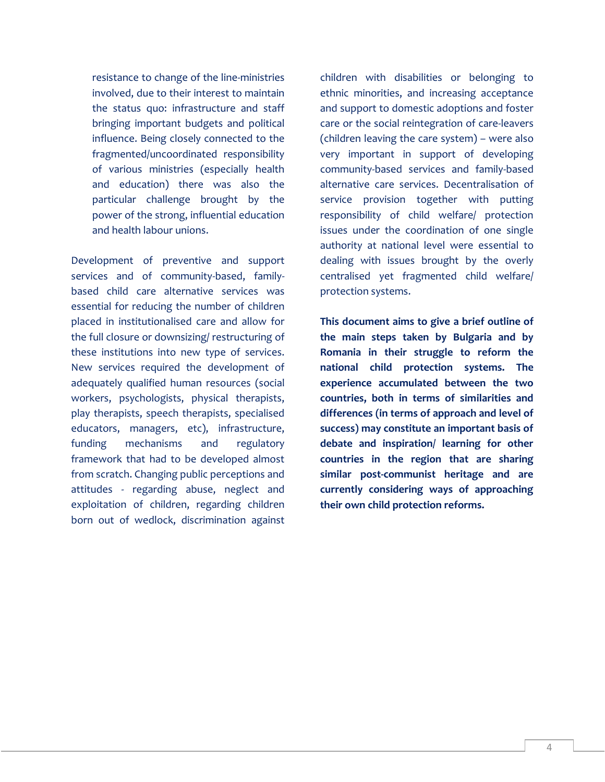resistance to change of the line-ministries involved, due to their interest to maintain the status quo: infrastructure and staff bringing important budgets and political influence. Being closely connected to the fragmented/uncoordinated responsibility of various ministries (especially health and education) there was also the particular challenge brought by the power of the strong, influential education and health labour unions.

Development of preventive and support services and of community-based, familybased child care alternative services was essential for reducing the number of children placed in institutionalised care and allow for the full closure or downsizing/ restructuring of these institutions into new type of services. New services required the development of adequately qualified human resources (social workers, psychologists, physical therapists, play therapists, speech therapists, specialised educators, managers, etc), infrastructure, funding mechanisms and regulatory framework that had to be developed almost from scratch. Changing public perceptions and attitudes - regarding abuse, neglect and exploitation of children, regarding children born out of wedlock, discrimination against

children with disabilities or belonging to ethnic minorities, and increasing acceptance and support to domestic adoptions and foster care or the social reintegration of care-leavers (children leaving the care system) – were also very important in support of developing community-based services and family-based alternative care services. Decentralisation of service provision together with putting responsibility of child welfare/ protection issues under the coordination of one single authority at national level were essential to dealing with issues brought by the overly centralised yet fragmented child welfare/ protection systems.

**This document aims to give a brief outline of the main steps taken by Bulgaria and by Romania in their struggle to reform the national child protection systems. The experience accumulated between the two countries, both in terms of similarities and differences (in terms of approach and level of success) may constitute an important basis of debate and inspiration/ learning for other countries in the region that are sharing similar post-communist heritage and are currently considering ways of approaching their own child protection reforms.**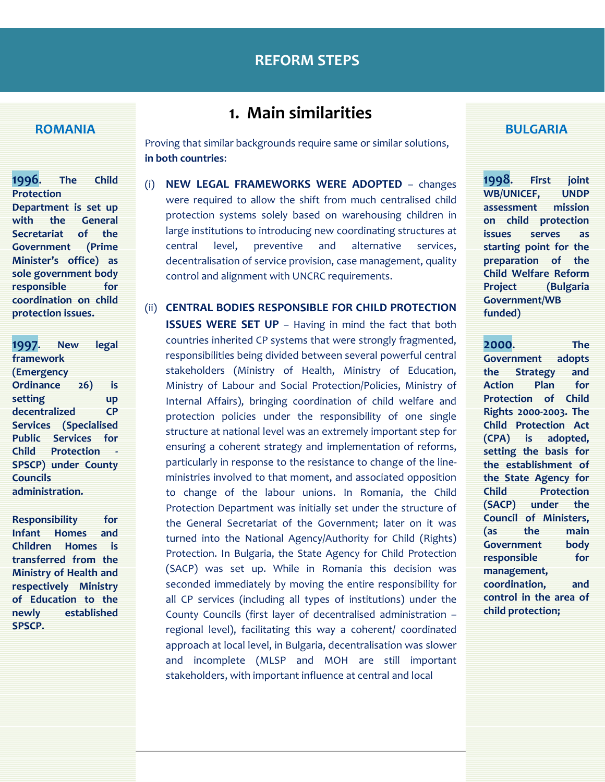### **ROMANIA**

**1996. The Child Protection Department is set up with the General Secretariat of the Government (Prime Minister's office) as sole government body responsible for coordination on child protection issues.**

**1997. New legal framework (Emergency Ordinance 26) is setting up decentralized CP Services (Specialised Public Services for Child Protection - SPSCP) under County Councils administration.** 

**Responsibility for Infant Homes and Children Homes is transferred from the Ministry of Health and respectively Ministry of Education to the newly established SPSCP.** 

# **1. Main similarities**

Proving that similar backgrounds require same or similar solutions, **in both countries**:

- (i) **NEW LEGAL FRAMEWORKS WERE ADOPTED** changes were required to allow the shift from much centralised child protection systems solely based on warehousing children in large institutions to introducing new coordinating structures at central level, preventive and alternative services, decentralisation of service provision, case management, quality control and alignment with UNCRC requirements.
- (ii) **CENTRAL BODIES RESPONSIBLE FOR CHILD PROTECTION ISSUES WERE SET UP** – Having in mind the fact that both countries inherited CP systems that were strongly fragmented, responsibilities being divided between several powerful central stakeholders (Ministry of Health, Ministry of Education, Ministry of Labour and Social Protection/Policies, Ministry of Internal Affairs), bringing coordination of child welfare and protection policies under the responsibility of one single structure at national level was an extremely important step for ensuring a coherent strategy and implementation of reforms, particularly in response to the resistance to change of the lineministries involved to that moment, and associated opposition to change of the labour unions. In Romania, the Child Protection Department was initially set under the structure of the General Secretariat of the Government; later on it was turned into the National Agency/Authority for Child (Rights) Protection. In Bulgaria, the State Agency for Child Protection (SACP) was set up. While in Romania this decision was seconded immediately by moving the entire responsibility for all CP services (including all types of institutions) under the County Councils (first layer of decentralised administration – regional level), facilitating this way a coherent/ coordinated approach at local level, in Bulgaria, decentralisation was slower and incomplete (MLSP and MOH are still important stakeholders, with important influence at central and local

#### **BULGARIA**

**1998. First joint WB/UNICEF, UNDP assessment mission on child protection issues serves as starting point for the preparation of the Child Welfare Reform Project (Bulgaria Government/WB funded)**

**2000. The Government adopts the Strategy and Action Plan for Protection of Child Rights 2000-2003. The Child Protection Act (CPA) is adopted, setting the basis for the establishment of the State Agency for Child Protection (SACP) under the Council of Ministers, (as the main Government body responsible for management, coordination, and control in the area of child protection;**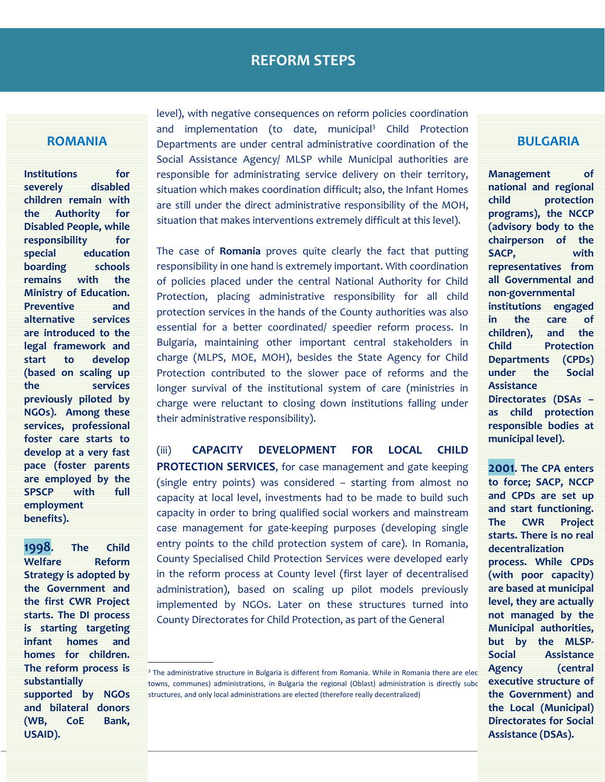### **ROMANIA**

**Institutions for severely disabled children remain with the Authority for Disabled People, while responsibility for special education boarding schools remains with the Ministry of Education. Preventive and alternative services are introduced to the legal framework and start to develop (based on scaling up the services previously piloted by NGOs). Among these services, professional foster care starts to develop at a very fast pace (foster parents are employed by the SPSCP with full employment benefits).**

 **The reform process is 1998. The Child Welfare Reform Strategy is adopted by the Government and the first CWR Project starts. The DI process is starting targeting infant homes and homes for children. substantially supported by NGOs and bilateral donors (WB, CoE Bank, USAID).**

level), with negative consequences on reform policies coordination and implementation (to date, municipal<sup>3</sup> Child Protection Departments are under central administrative coordination of the Social Assistance Agency/ MLSP while Municipal authorities are responsible for administrating service delivery on their territory, situation which makes coordination difficult; also, the Infant Homes are still under the direct administrative responsibility of the MOH, situation that makes interventions extremely difficult at this level).

The case of **Romania** proves quite clearly the fact that putting responsibility in one hand is extremely important. With coordination of policies placed under the central National Authority for Child Protection, placing administrative responsibility for all child protection services in the hands of the County authorities was also essential for a better coordinated/ speedier reform process. In Bulgaria, maintaining other important central stakeholders in charge (MLPS, MOE, MOH), besides the State Agency for Child Protection contributed to the slower pace of reforms and the longer survival of the institutional system of care (ministries in charge were reluctant to closing down institutions falling under their administrative responsibility).

(iii) **CAPACITY DEVELOPMENT FOR LOCAL CHILD PROTECTION SERVICES**, for case management and gate keeping (single entry points) was considered – starting from almost no capacity at local level, investments had to be made to build such capacity in order to bring qualified social workers and mainstream case management for gate-keeping purposes (developing single entry points to the child protection system of care). In Romania, County Specialised Child Protection Services were developed early in the reform process at County level (first layer of decentralised administration), based on scaling up pilot models previously implemented by NGOs. Later on these structures turned into County Directorates for Child Protection, as part of the General

#### **BULGARIA**

**Management of national and regional child protection programs), the NCCP (advisory body to the chairperson of the SACP, with representatives from all Governmental and non-governmental institutions engaged in the care of children), and the Child Protection Departments (CPDs) under the Social Assistance Directorates (DSAs –**

**as child protection responsible bodies at municipal level).**

**2001. The CPA enters to force; SACP, NCCP and CPDs are set up and start functioning. The CWR Project starts. There is no real decentralization process. While CPDs (with poor capacity) are based at municipal level, they are actually not managed by the Municipal authorities, but by the MLSP-Social Assistance Agency executive structure of the Government) and the Local (Municipal) Directorates for Social Assistance (DSAs).**

 $\overline{\text{B}}$  The administrative structure in Bulgaria is different from Romania. While in Romania there are elected **Agency** (central towns, communes) administrations, in Bulgaria the regional (Oblast) administration is directly subc structures, and only local administrations are elected (therefore really decentralized)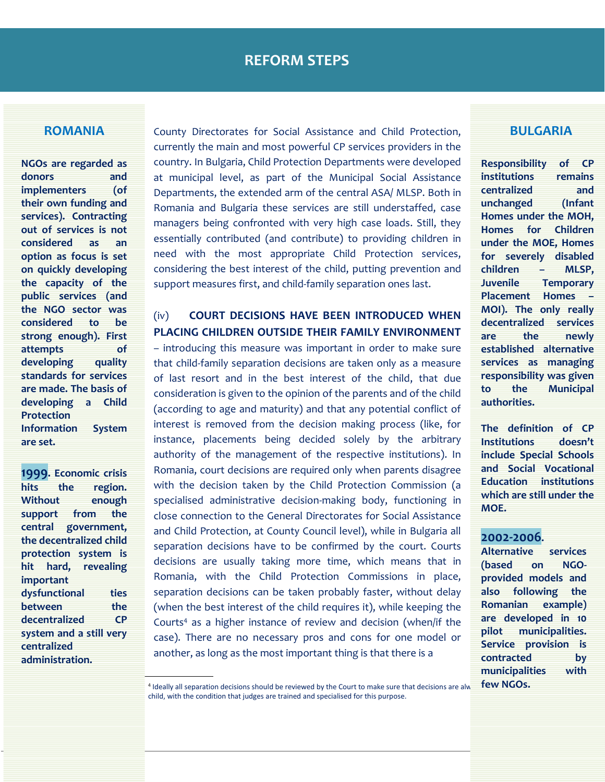#### **ROMANIA**

**NGOs are regarded as donors and implementers (of their own funding and services). Contracting out of services is not considered as an option as focus is set on quickly developing the capacity of the public services (and the NGO sector was considered to be strong enough). First attempts of developing quality standards for services are made. The basis of developing a Child Protection Information System are set.**

**1999. Economic crisis hits the region. Without enough support from the central government, the decentralized child protection system is hit hard, revealing important dysfunctional ties between** the **decentralized CP system and a still very centralized administration.** 

County Directorates for Social Assistance and Child Protection, currently the main and most powerful CP services providers in the country. In Bulgaria, Child Protection Departments were developed at municipal level, as part of the Municipal Social Assistance Departments, the extended arm of the central ASA/ MLSP. Both in Romania and Bulgaria these services are still understaffed, case managers being confronted with very high case loads. Still, they essentially contributed (and contribute) to providing children in need with the most appropriate Child Protection services, considering the best interest of the child, putting prevention and support measures first, and child-family separation ones last.

# (iv) **COURT DECISIONS HAVE BEEN INTRODUCED WHEN PLACING CHILDREN OUTSIDE THEIR FAMILY ENVIRONMENT**

– introducing this measure was important in order to make sure that child-family separation decisions are taken only as a measure of last resort and in the best interest of the child, that due consideration is given to the opinion of the parents and of the child (according to age and maturity) and that any potential conflict of interest is removed from the decision making process (like, for instance, placements being decided solely by the arbitrary authority of the management of the respective institutions). In Romania, court decisions are required only when parents disagree with the decision taken by the Child Protection Commission (a specialised administrative decision-making body, functioning in close connection to the General Directorates for Social Assistance and Child Protection, at County Council level), while in Bulgaria all separation decisions have to be confirmed by the court. Courts decisions are usually taking more time, which means that in Romania, with the Child Protection Commissions in place, separation decisions can be taken probably faster, without delay (when the best interest of the child requires it), while keeping the Courts<sup>4</sup> as a higher instance of review and decision (when/if the case). There are no necessary pros and cons for one model or another, as long as the most important thing is that there is a

### **BULGARIA**

**Responsibility of CP institutions remains centralized and unchanged (Infant Homes under the MOH, Homes for Children under the MOE, Homes for severely disabled children – MLSP, Juvenile Temporary Placement Homes – MOI). The only really decentralized services are the newly established alternative services as managing responsibility was given to the Municipal authorities.**

**The definition of CP Institutions doesn't include Special Schools and Social Vocational Education institutions which are still under the MOE.**

### **2002-2006.**

**Alternative services (based on NGOprovided models and also following the Romanian example) are developed in 10 pilot municipalities. Service provision is contracted by municipalities with few NGOs.**

<sup>&</sup>lt;sup>4</sup> Ideally all separation decisions should be reviewed by the Court to make sure that decisions are alw **TEW NGUS.** child, with the condition that judges are trained and specialised for this purpose.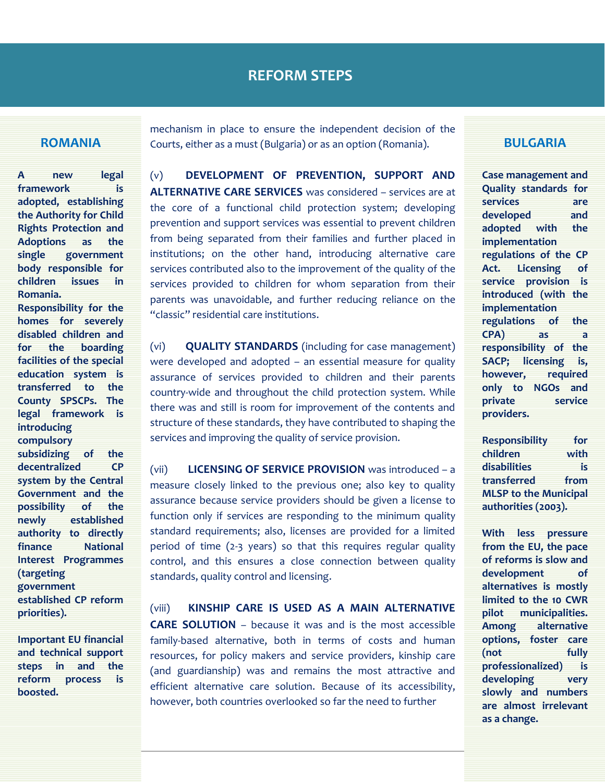#### **ROMANIA**

**A new legal framework is adopted, establishing the Authority for Child Rights Protection and Adoptions as the single government body responsible for children issues in Romania.** 

**Responsibility for the homes for severely disabled children and for the boarding facilities of the special education system is transferred to the County SPSCPs. The legal framework is introducing compulsory subsidizing of the decentralized CP system by the Central Government and the** 

**possibility of the newly established authority to directly finance National Interest Programmes (targeting government established CP reform priorities).**

**Important EU financial and technical support steps in and the reform process is boosted.**

mechanism in place to ensure the independent decision of the Courts, either as a must (Bulgaria) or as an option (Romania).

(v) **DEVELOPMENT OF PREVENTION, SUPPORT AND ALTERNATIVE CARE SERVICES** was considered – services are at the core of a functional child protection system; developing prevention and support services was essential to prevent children from being separated from their families and further placed in institutions; on the other hand, introducing alternative care services contributed also to the improvement of the quality of the services provided to children for whom separation from their parents was unavoidable, and further reducing reliance on the "classic" residential care institutions.

(vi) **QUALITY STANDARDS** (including for case management) were developed and adopted – an essential measure for quality assurance of services provided to children and their parents country-wide and throughout the child protection system. While there was and still is room for improvement of the contents and structure of these standards, they have contributed to shaping the services and improving the quality of service provision.

(vii) **LICENSING OF SERVICE PROVISION** was introduced – a measure closely linked to the previous one; also key to quality assurance because service providers should be given a license to function only if services are responding to the minimum quality standard requirements; also, licenses are provided for a limited period of time (2-3 years) so that this requires regular quality control, and this ensures a close connection between quality standards, quality control and licensing.

(viii) **KINSHIP CARE IS USED AS A MAIN ALTERNATIVE CARE SOLUTION** – because it was and is the most accessible family-based alternative, both in terms of costs and human resources, for policy makers and service providers, kinship care (and guardianship) was and remains the most attractive and efficient alternative care solution. Because of its accessibility, however, both countries overlooked so far the need to further

#### **BULGARIA**

**Case management and Quality standards for services are developed and adopted with the implementation regulations of the CP Act. Licensing of service provision is introduced (with the implementation regulations of the CPA) as a responsibility of the SACP; licensing is, however, required only to NGOs and private service providers.**

**Responsibility for children with disabilities is transferred from MLSP to the Municipal authorities (2003).**

**With less pressure from the EU, the pace of reforms is slow and development of alternatives is mostly limited to the 10 CWR pilot municipalities. Among alternative options, foster care (not fully professionalized) is developing very slowly and numbers are almost irrelevant as a change.**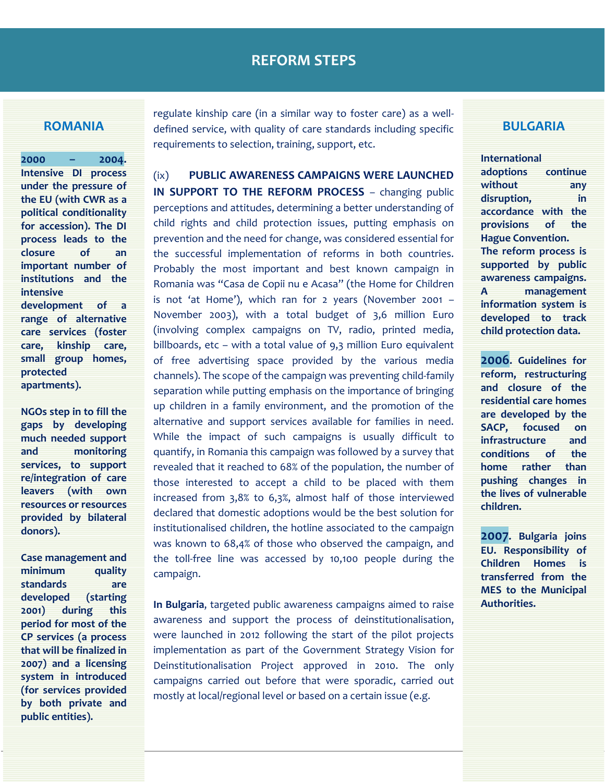#### **ROMANIA**

**2000 – 2004. Intensive DI process under the pressure of the EU (with CWR as a political conditionality for accession). The DI process leads to the closure of an important number of institutions and the intensive development of a range of alternative care services (foster care, kinship care, small group homes, protected apartments).** 

**NGOs step in to fill the gaps by developing much needed support and monitoring services, to support re/integration of care leavers (with own resources or resources provided by bilateral donors).**

**Case management and minimum quality standards are developed (starting 2001) during this period for most of the CP services (a process that will be finalized in 2007) and a licensing system in introduced (for services provided by both private and public entities).**

regulate kinship care (in a similar way to foster care) as a welldefined service, with quality of care standards including specific requirements to selection, training, support, etc.

(ix) **PUBLIC AWARENESS CAMPAIGNS WERE LAUNCHED IN SUPPORT TO THE REFORM PROCESS** – changing public perceptions and attitudes, determining a better understanding of child rights and child protection issues, putting emphasis on prevention and the need for change, was considered essential for the successful implementation of reforms in both countries. Probably the most important and best known campaign in Romania was "Casa de Copii nu e Acasa" (the Home for Children is not 'at Home'), which ran for 2 years (November 2001 – November 2003), with a total budget of 3,6 million Euro (involving complex campaigns on TV, radio, printed media, billboards, etc – with a total value of 9,3 million Euro equivalent of free advertising space provided by the various media channels). The scope of the campaign was preventing child-family separation while putting emphasis on the importance of bringing up children in a family environment, and the promotion of the alternative and support services available for families in need. While the impact of such campaigns is usually difficult to quantify, in Romania this campaign was followed by a survey that revealed that it reached to 68% of the population, the number of those interested to accept a child to be placed with them increased from 3,8% to 6,3%, almost half of those interviewed declared that domestic adoptions would be the best solution for institutionalised children, the hotline associated to the campaign was known to 68,4% of those who observed the campaign, and the toll-free line was accessed by 10,100 people during the campaign.

**In Bulgaria**, targeted public awareness campaigns aimed to raise awareness and support the process of deinstitutionalisation, were launched in 2012 following the start of the pilot projects implementation as part of the Government Strategy Vision for Deinstitutionalisation Project approved in 2010. The only campaigns carried out before that were sporadic, carried out mostly at local/regional level or based on a certain issue (e.g.

#### **BULGARIA**

**International adoptions continue without any disruption, in accordance with the provisions of the Hague Convention. The reform process is supported by public awareness campaigns. A management information system is developed to track child protection data.**

**2006. Guidelines for reform, restructuring and closure of the residential care homes are developed by the SACP, focused on infrastructure and conditions of the home rather than pushing changes in the lives of vulnerable children.** 

**2007. Bulgaria joins EU. Responsibility of Children Homes is transferred from the MES to the Municipal Authorities.**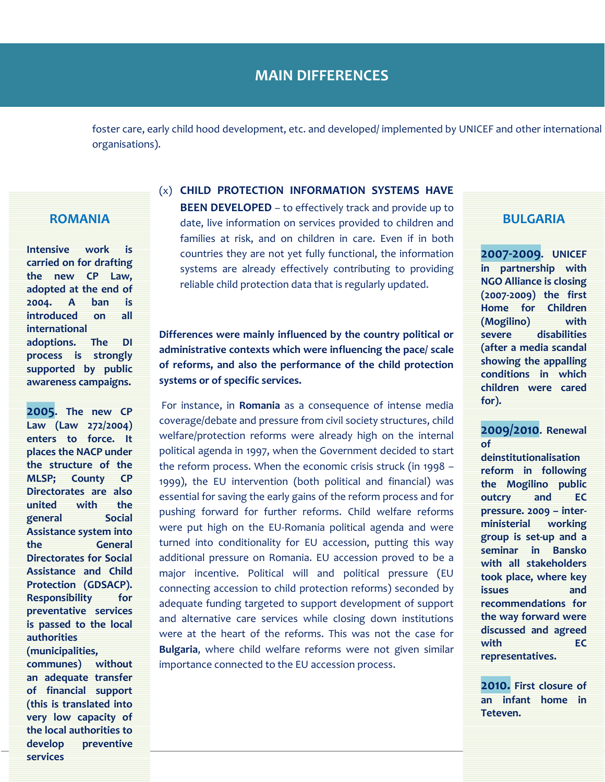foster care, early child hood development, etc. and developed/ implemented by UNICEF and other international organisations).

#### **ROMANIA**

**Intensive work is carried on for drafting the new CP Law, adopted at the end of 2004. A ban is introduced on all international adoptions. The DI process is strongly supported by public awareness campaigns.** 

**2005. The new CP Law (Law 272/2004) enters to force. It places the NACP under the structure of the MLSP; County CP Directorates are also united with the general Social Assistance system into the General Directorates for Social Assistance and Child Protection (GDSACP). Responsibility for preventative services is passed to the local authorities (municipalities, communes) without an adequate transfer of financial support** 

**(this is translated into very low capacity of the local authorities to develop preventive** 

**services** 

**BEEN DEVELOPED** – to effectively track and provide up to date, live information on services provided to children and

(x) **CHILD PROTECTION INFORMATION SYSTEMS HAVE** 

families at risk, and on children in care. Even if in both countries they are not yet fully functional, the information systems are already effectively contributing to providing reliable child protection data that is regularly updated.

# **Differences were mainly influenced by the country political or administrative contexts which were influencing the pace/ scale of reforms, and also the performance of the child protection systems or of specific services.**

For instance, in **Romania** as a consequence of intense media coverage/debate and pressure from civil society structures, child welfare/protection reforms were already high on the internal political agenda in 1997, when the Government decided to start the reform process. When the economic crisis struck (in 1998 – 1999), the EU intervention (both political and financial) was essential for saving the early gains of the reform process and for pushing forward for further reforms. Child welfare reforms were put high on the EU-Romania political agenda and were turned into conditionality for EU accession, putting this way additional pressure on Romania. EU accession proved to be a major incentive. Political will and political pressure (EU connecting accession to child protection reforms) seconded by adequate funding targeted to support development of support and alternative care services while closing down institutions were at the heart of the reforms. This was not the case for **Bulgaria**, where child welfare reforms were not given similar importance connected to the EU accession process.

#### **BULGARIA**

**2007-2009. UNICEF in partnership with NGO Alliance is closing (2007-2009) the first Home for Children (Mogilino) with severe disabilities (after a media scandal showing the appalling conditions in which children were cared for).** 

## **2009/2010. Renewal of**

**deinstitutionalisation reform in following the Mogilino public outcry and EC pressure. 2009 – interministerial working group is set-up and a seminar in Bansko with all stakeholders took place, where key issues and recommendations for the way forward were discussed and agreed with EC representatives.**

**2010. First closure of an infant home in Teteven.**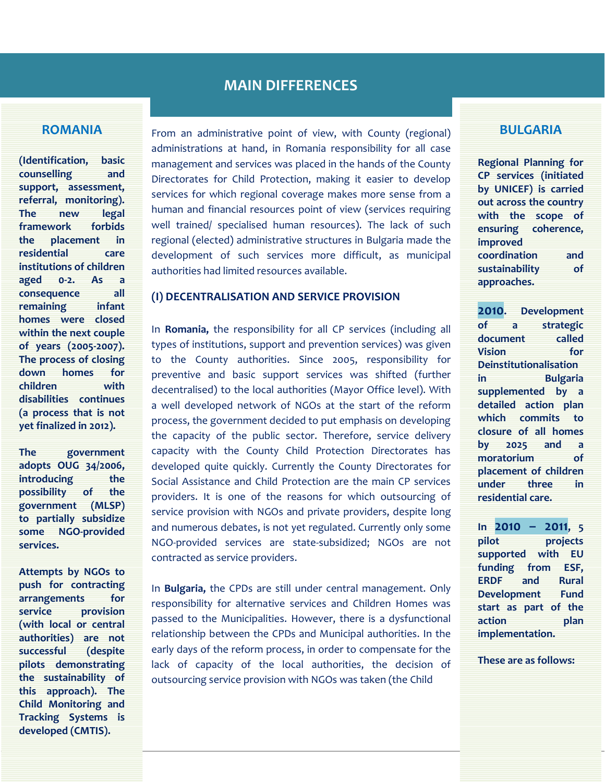#### **ROMANIA**

**(Identification, basic counselling and support, assessment, referral, monitoring). The new legal framework forbids the placement in residential care institutions of children aged 0-2. As a consequence all remaining infant homes were closed within the next couple of years (2005-2007). The process of closing down homes for children with disabilities continues (a process that is not yet finalized in 2012).** 

**The government adopts OUG 34/2006, introducing** the **possibility of the government (MLSP) to partially subsidize some NGO-provided services.** 

**Attempts by NGOs to push for contracting arrangements for service provision (with local or central authorities) are not successful (despite pilots demonstrating the sustainability of this approach). The Child Monitoring and Tracking Systems is developed (CMTIS).**

From an administrative point of view, with County (regional) administrations at hand, in Romania responsibility for all case management and services was placed in the hands of the County Directorates for Child Protection, making it easier to develop services for which regional coverage makes more sense from a human and financial resources point of view (services requiring well trained/ specialised human resources). The lack of such regional (elected) administrative structures in Bulgaria made the development of such services more difficult, as municipal authorities had limited resources available.

#### **(I) DECENTRALISATION AND SERVICE PROVISION**

In **Romania,** the responsibility for all CP services (including all types of institutions, support and prevention services) was given to the County authorities. Since 2005, responsibility for preventive and basic support services was shifted (further decentralised) to the local authorities (Mayor Office level). With a well developed network of NGOs at the start of the reform process, the government decided to put emphasis on developing the capacity of the public sector. Therefore, service delivery capacity with the County Child Protection Directorates has developed quite quickly. Currently the County Directorates for Social Assistance and Child Protection are the main CP services providers. It is one of the reasons for which outsourcing of service provision with NGOs and private providers, despite long and numerous debates, is not yet regulated. Currently only some NGO-provided services are state-subsidized; NGOs are not contracted as service providers.

In **Bulgaria,** the CPDs are still under central management. Only responsibility for alternative services and Children Homes was passed to the Municipalities. However, there is a dysfunctional relationship between the CPDs and Municipal authorities. In the early days of the reform process, in order to compensate for the lack of capacity of the local authorities, the decision of outsourcing service provision with NGOs was taken (the Child

#### **BULGARIA**

**Regional Planning for CP services (initiated by UNICEF) is carried out across the country with the scope of ensuring coherence, improved coordination and sustainability of approaches.** 

**2010. Development of a strategic document called Vision for Deinstitutionalisation in Bulgaria supplemented by a detailed action plan which commits to closure of all homes by 2025 and a moratorium of placement of children under three in residential care.** 

**In 2010 – 2011, 5 pilot projects supported with EU funding from ESF, ERDF and Rural Development Fund start as part of the action plan implementation.** 

**These are as follows:**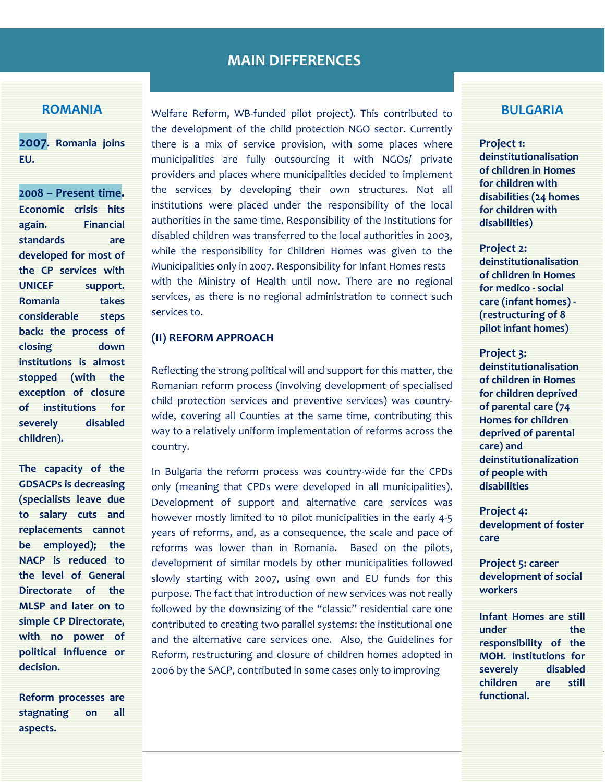#### **ROMANIA**

**2007. Romania joins EU.**

**2008 – Present time. Economic crisis hits again. Financial standards are developed for most of the CP services with UNICEF support. Romania takes considerable steps back: the process of closing down institutions is almost stopped (with the exception of closure of institutions for severely disabled children).** 

**The capacity of the GDSACPs is decreasing (specialists leave due to salary cuts and replacements cannot be employed); the NACP is reduced to the level of General Directorate of the MLSP and later on to simple CP Directorate, with no power of political influence or decision.** 

**Reform processes are stagnating on all aspects.**

Welfare Reform, WB-funded pilot project). This contributed to the development of the child protection NGO sector. Currently there is a mix of service provision, with some places where municipalities are fully outsourcing it with NGOs/ private providers and places where municipalities decided to implement the services by developing their own structures. Not all institutions were placed under the responsibility of the local authorities in the same time. Responsibility of the Institutions for disabled children was transferred to the local authorities in 2003, while the responsibility for Children Homes was given to the Municipalities only in 2007. Responsibility for Infant Homes rests with the Ministry of Health until now. There are no regional services, as there is no regional administration to connect such services to.

#### **(II) REFORM APPROACH**

Reflecting the strong political will and support for this matter, the Romanian reform process (involving development of specialised child protection services and preventive services) was countrywide, covering all Counties at the same time, contributing this way to a relatively uniform implementation of reforms across the country.

In Bulgaria the reform process was country-wide for the CPDs only (meaning that CPDs were developed in all municipalities). Development of support and alternative care services was however mostly limited to 10 pilot municipalities in the early 4-5 years of reforms, and, as a consequence, the scale and pace of reforms was lower than in Romania. Based on the pilots, development of similar models by other municipalities followed slowly starting with 2007, using own and EU funds for this purpose. The fact that introduction of new services was not really followed by the downsizing of the "classic" residential care one contributed to creating two parallel systems: the institutional one and the alternative care services one. Also, the Guidelines for Reform, restructuring and closure of children homes adopted in 2006 by the SACP, contributed in some cases only to improving

# **BULGARIA**

#### **Project 1:**

**deinstitutionalisation of children in Homes for children with disabilities (24 homes for children with disabilities)** 

#### **Project 2:**

**deinstitutionalisation of children in Homes for medico - social care (infant homes) - (restructuring of 8 pilot infant homes)** 

#### **Project 3:**

**deinstitutionalisation of children in Homes for children deprived of parental care (74 Homes for children deprived of parental care) and deinstitutionalization of people with disabilities**

**Project 4: development of foster care** 

**Project 5: career development of social workers** 

**Infant Homes are still**  under the **responsibility of the MOH. Institutions for severely disabled children are still functional.**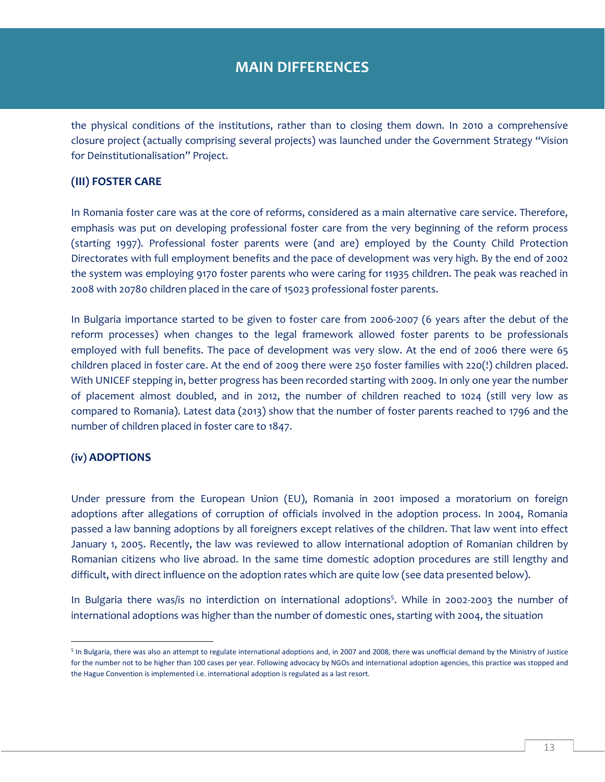the physical conditions of the institutions, rather than to closing them down. In 2010 a comprehensive closure project (actually comprising several projects) was launched under the Government Strategy "Vision for Deinstitutionalisation" Project.

#### **(III) FOSTER CARE**

In Romania foster care was at the core of reforms, considered as a main alternative care service. Therefore, emphasis was put on developing professional foster care from the very beginning of the reform process (starting 1997). Professional foster parents were (and are) employed by the County Child Protection Directorates with full employment benefits and the pace of development was very high. By the end of 2002 the system was employing 9170 foster parents who were caring for 11935 children. The peak was reached in 2008 with 20780 children placed in the care of 15023 professional foster parents.

In Bulgaria importance started to be given to foster care from 2006-2007 (6 years after the debut of the reform processes) when changes to the legal framework allowed foster parents to be professionals employed with full benefits. The pace of development was very slow. At the end of 2006 there were 65 children placed in foster care. At the end of 2009 there were 250 foster families with 220(!) children placed. With UNICEF stepping in, better progress has been recorded starting with 2009. In only one year the number of placement almost doubled, and in 2012, the number of children reached to 1024 (still very low as compared to Romania). Latest data (2013) show that the number of foster parents reached to 1796 and the number of children placed in foster care to 1847.

#### **(iv) ADOPTIONS**

 $\overline{a}$ 

Under pressure from the European Union (EU), Romania in 2001 imposed a moratorium on foreign adoptions after allegations of corruption of officials involved in the adoption process. In 2004, Romania passed a law banning adoptions by all foreigners except relatives of the children. That law went into effect January 1, 2005. Recently, the law was reviewed to allow international adoption of Romanian children by Romanian citizens who live abroad. In the same time domestic adoption procedures are still lengthy and difficult, with direct influence on the adoption rates which are quite low (see data presented below).

In Bulgaria there was/is no interdiction on international adoptions<sup>5</sup>. While in 2002-2003 the number of international adoptions was higher than the number of domestic ones, starting with 2004, the situation

<sup>&</sup>lt;sup>5</sup> In Bulgaria, there was also an attempt to regulate international adoptions and, in 2007 and 2008, there was unofficial demand by the Ministry of Justice for the number not to be higher than 100 cases per year. Following advocacy by NGOs and international adoption agencies, this practice was stopped and the Hague Convention is implemented i.e. international adoption is regulated as a last resort.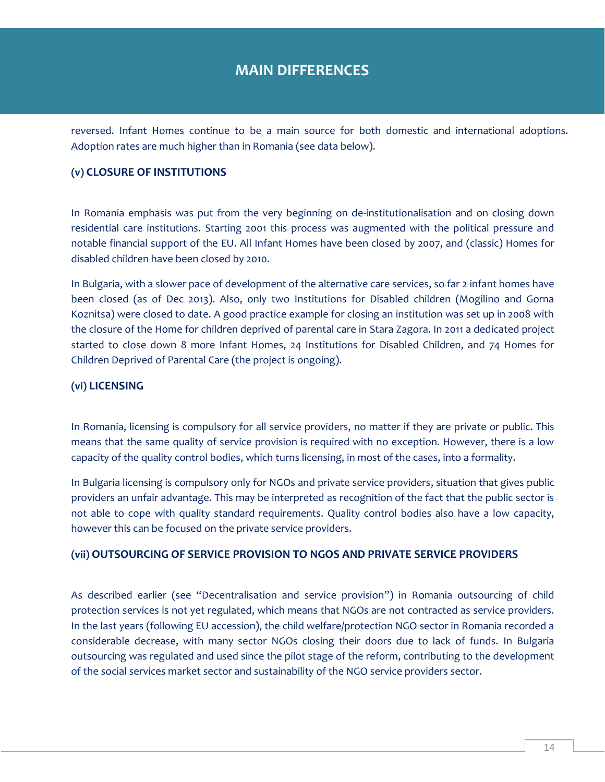reversed. Infant Homes continue to be a main source for both domestic and international adoptions. Adoption rates are much higher than in Romania (see data below).

#### **(v) CLOSURE OF INSTITUTIONS**

In Romania emphasis was put from the very beginning on de-institutionalisation and on closing down residential care institutions. Starting 2001 this process was augmented with the political pressure and notable financial support of the EU. All Infant Homes have been closed by 2007, and (classic) Homes for disabled children have been closed by 2010.

In Bulgaria, with a slower pace of development of the alternative care services, so far 2 infant homes have been closed (as of Dec 2013). Also, only two Institutions for Disabled children (Mogilino and Gorna Koznitsa) were closed to date. A good practice example for closing an institution was set up in 2008 with the closure of the Home for children deprived of parental care in Stara Zagora. In 2011 a dedicated project started to close down 8 more Infant Homes, 24 Institutions for Disabled Children, and 74 Homes for Children Deprived of Parental Care (the project is ongoing).

#### **(vi) LICENSING**

In Romania, licensing is compulsory for all service providers, no matter if they are private or public. This means that the same quality of service provision is required with no exception. However, there is a low capacity of the quality control bodies, which turns licensing, in most of the cases, into a formality.

In Bulgaria licensing is compulsory only for NGOs and private service providers, situation that gives public providers an unfair advantage. This may be interpreted as recognition of the fact that the public sector is not able to cope with quality standard requirements. Quality control bodies also have a low capacity, however this can be focused on the private service providers.

#### **(vii) OUTSOURCING OF SERVICE PROVISION TO NGOS AND PRIVATE SERVICE PROVIDERS**

As described earlier (see "Decentralisation and service provision") in Romania outsourcing of child protection services is not yet regulated, which means that NGOs are not contracted as service providers. In the last years (following EU accession), the child welfare/protection NGO sector in Romania recorded a considerable decrease, with many sector NGOs closing their doors due to lack of funds. In Bulgaria outsourcing was regulated and used since the pilot stage of the reform, contributing to the development of the social services market sector and sustainability of the NGO service providers sector.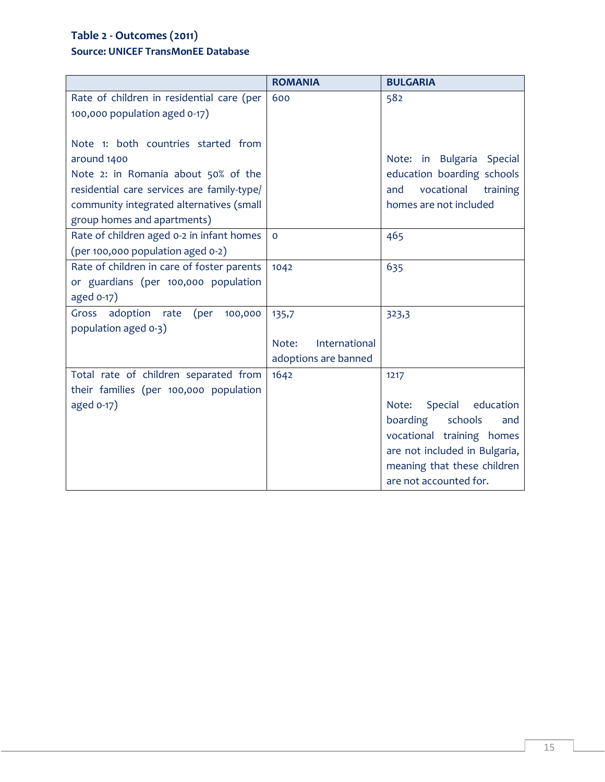# **Table 2 - Outcomes (2011) Source: UNICEF TransMonEE Database**

|                                            | <b>ROMANIA</b>         | <b>BULGARIA</b>                      |
|--------------------------------------------|------------------------|--------------------------------------|
| Rate of children in residential care (per  | 600                    | 582                                  |
| 100,000 population aged 0-17)              |                        |                                      |
|                                            |                        |                                      |
| Note 1: both countries started from        |                        |                                      |
| around 1400                                |                        | Note: in Bulgaria Special            |
| Note 2: in Romania about 50% of the        |                        | education boarding schools           |
| residential care services are family-type/ |                        | vocational<br>training<br>and        |
| community integrated alternatives (small   |                        | homes are not included               |
| group homes and apartments)                |                        |                                      |
| Rate of children aged 0-2 in infant homes  | $\mathbf 0$            | 465                                  |
| (per 100,000 population aged 0-2)          |                        |                                      |
| Rate of children in care of foster parents | 1042                   | 635                                  |
| or guardians (per 100,000 population       |                        |                                      |
| aged 0-17)                                 |                        |                                      |
| Gross adoption<br>100,000<br>rate<br>(per  | 135,7                  | 323,3                                |
| population aged 0-3)                       |                        |                                      |
|                                            | International<br>Note: |                                      |
|                                            | adoptions are banned   |                                      |
| Total rate of children separated from      | 1642                   | 1217                                 |
| their families (per 100,000 population     |                        |                                      |
| aged 0-17)                                 |                        | Note:<br><b>Special</b><br>education |
|                                            |                        | boarding<br>schools<br>and           |
|                                            |                        | vocational training homes            |
|                                            |                        | are not included in Bulgaria,        |
|                                            |                        | meaning that these children          |
|                                            |                        | are not accounted for.               |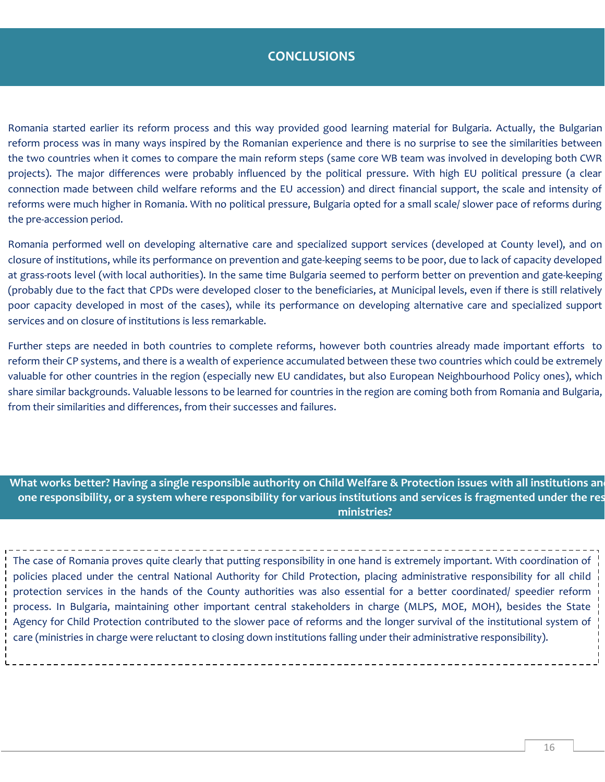# **CONCLUSIONS**

Romania started earlier its reform process and this way provided good learning material for Bulgaria. Actually, the Bulgarian reform process was in many ways inspired by the Romanian experience and there is no surprise to see the similarities between the two countries when it comes to compare the main reform steps (same core WB team was involved in developing both CWR projects). The major differences were probably influenced by the political pressure. With high EU political pressure (a clear connection made between child welfare reforms and the EU accession) and direct financial support, the scale and intensity of reforms were much higher in Romania. With no political pressure, Bulgaria opted for a small scale/ slower pace of reforms during the pre-accession period.

Romania performed well on developing alternative care and specialized support services (developed at County level), and on closure of institutions, while its performance on prevention and gate-keeping seems to be poor, due to lack of capacity developed at grass-roots level (with local authorities). In the same time Bulgaria seemed to perform better on prevention and gate-keeping (probably due to the fact that CPDs were developed closer to the beneficiaries, at Municipal levels, even if there is still relatively poor capacity developed in most of the cases), while its performance on developing alternative care and specialized support services and on closure of institutions is less remarkable.

Further steps are needed in both countries to complete reforms, however both countries already made important efforts to reform their CP systems, and there is a wealth of experience accumulated between these two countries which could be extremely valuable for other countries in the region (especially new EU candidates, but also European Neighbourhood Policy ones), which share similar backgrounds. Valuable lessons to be learned for countries in the region are coming both from Romania and Bulgaria, from their similarities and differences, from their successes and failures.

What works better? Having a single responsible authority on Child Welfare & Protection issues with all institutions an one responsibility, or a system where responsibility for various institutions and services is fragmented under the res **ministries?**

The case of Romania proves quite clearly that putting responsibility in one hand is extremely important. With coordination of policies placed under the central National Authority for Child Protection, placing administrative responsibility for all child protection services in the hands of the County authorities was also essential for a better coordinated/ speedier reform process. In Bulgaria, maintaining other important central stakeholders in charge (MLPS, MOE, MOH), besides the State Agency for Child Protection contributed to the slower pace of reforms and the longer survival of the institutional system of care (ministries in charge were reluctant to closing down institutions falling under their administrative responsibility).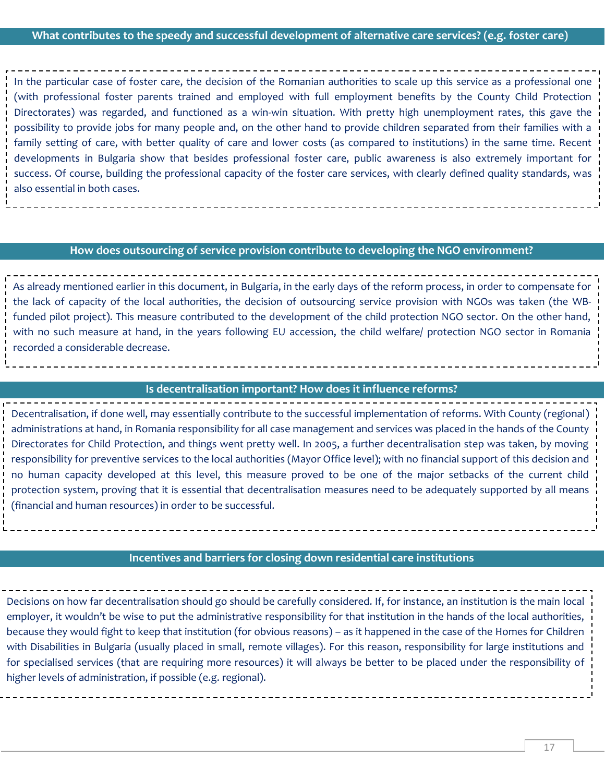# **What contributes to the speedy and successful development of alternative care services? (e.g. foster care)**

In the particular case of foster care, the decision of the Romanian authorities to scale up this service as a professional one (with professional foster parents trained and employed with full employment benefits by the County Child Protection Directorates) was regarded, and functioned as a win-win situation. With pretty high unemployment rates, this gave the possibility to provide jobs for many people and, on the other hand to provide children separated from their families with a family setting of care, with better quality of care and lower costs (as compared to institutions) in the same time. Recent developments in Bulgaria show that besides professional foster care, public awareness is also extremely important for success. Of course, building the professional capacity of the foster care services, with clearly defined quality standards, was also essential in both cases.

#### **How does outsourcing of service provision contribute to developing the NGO environment?**

As already mentioned earlier in this document, in Bulgaria, in the early days of the reform process, in order to compensate for the lack of capacity of the local authorities, the decision of outsourcing service provision with NGOs was taken (the WBfunded pilot project). This measure contributed to the development of the child protection NGO sector. On the other hand, with no such measure at hand, in the years following EU accession, the child welfare/ protection NGO sector in Romania recorded a considerable decrease.

#### **Is decentralisation important? How does it influence reforms?**

Decentralisation, if done well, may essentially contribute to the successful implementation of reforms. With County (regional) administrations at hand, in Romania responsibility for all case management and services was placed in the hands of the County Directorates for Child Protection, and things went pretty well. In 2005, a further decentralisation step was taken, by moving responsibility for preventive services to the local authorities (Mayor Office level); with no financial support of this decision and no human capacity developed at this level, this measure proved to be one of the major setbacks of the current child protection system, proving that it is essential that decentralisation measures need to be adequately supported by all means (financial and human resources) in order to be successful.

#### **Incentives and barriers for closing down residential care institutions**

Decisions on how far decentralisation should go should be carefully considered. If, for instance, an institution is the main local employer, it wouldn't be wise to put the administrative responsibility for that institution in the hands of the local authorities, because they would fight to keep that institution (for obvious reasons) – as it happened in the case of the Homes for Children with Disabilities in Bulgaria (usually placed in small, remote villages). For this reason, responsibility for large institutions and for specialised services (that are requiring more resources) it will always be better to be placed under the responsibility of higher levels of administration, if possible (e.g. regional).